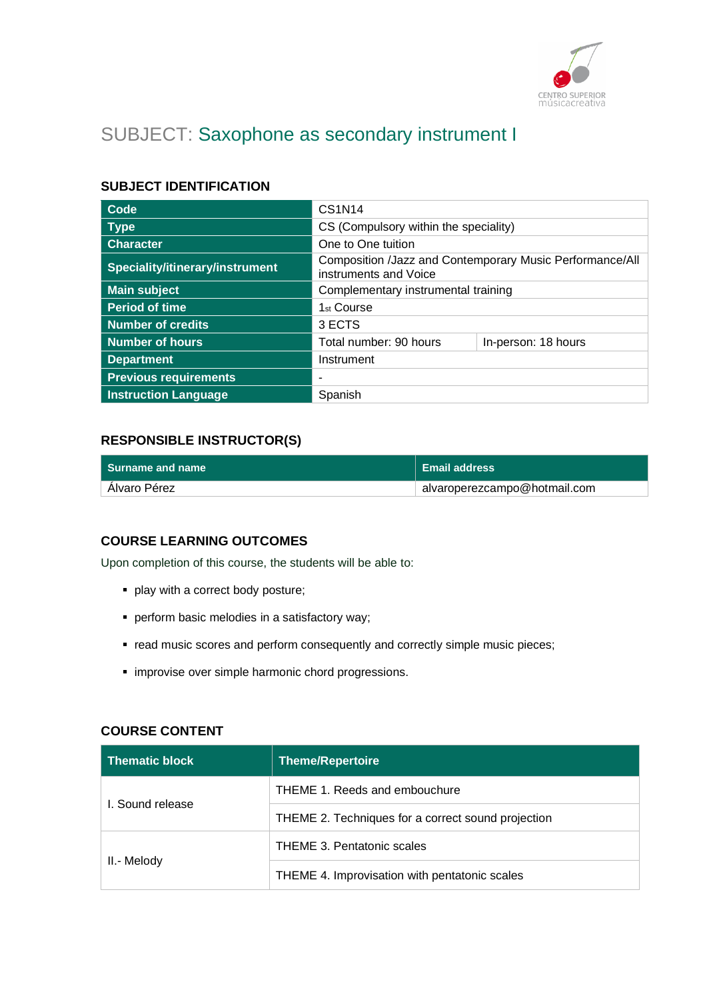

# SUBJECT: Saxophone as secondary instrument I

## **SUBJECT IDENTIFICATION**

| Code                            | <b>CS1N14</b>                                                                     |  |
|---------------------------------|-----------------------------------------------------------------------------------|--|
| <b>Type</b>                     | CS (Compulsory within the speciality)                                             |  |
| <b>Character</b>                | One to One tuition                                                                |  |
| Speciality/itinerary/instrument | Composition /Jazz and Contemporary Music Performance/All<br>instruments and Voice |  |
| <b>Main subject</b>             | Complementary instrumental training                                               |  |
| <b>Period of time</b>           | 1 <sub>st</sub> Course                                                            |  |
| <b>Number of credits</b>        | 3 ECTS                                                                            |  |
| <b>Number of hours</b>          | Total number: 90 hours<br>In-person: 18 hours                                     |  |
| <b>Department</b>               | Instrument                                                                        |  |
| <b>Previous requirements</b>    |                                                                                   |  |
| <b>Instruction Language</b>     | Spanish                                                                           |  |

## **RESPONSIBLE INSTRUCTOR(S)**

| l Surname and name | <b>Email address</b>         |
|--------------------|------------------------------|
| Alvaro Pérez       | alvaroperezcampo@hotmail.com |

#### **COURSE LEARNING OUTCOMES**

Upon completion of this course, the students will be able to:

- play with a correct body posture;
- perform basic melodies in a satisfactory way;
- read music scores and perform consequently and correctly simple music pieces;
- **·** improvise over simple harmonic chord progressions.

#### **COURSE CONTENT**

| <b>Thematic block</b> | Theme/Repertoire                                   |
|-----------------------|----------------------------------------------------|
| L. Sound release      | THEME 1. Reeds and embouchure                      |
|                       | THEME 2. Techniques for a correct sound projection |
| II.- Melody           | <b>THEME 3. Pentatonic scales</b>                  |
|                       | THEME 4. Improvisation with pentatonic scales      |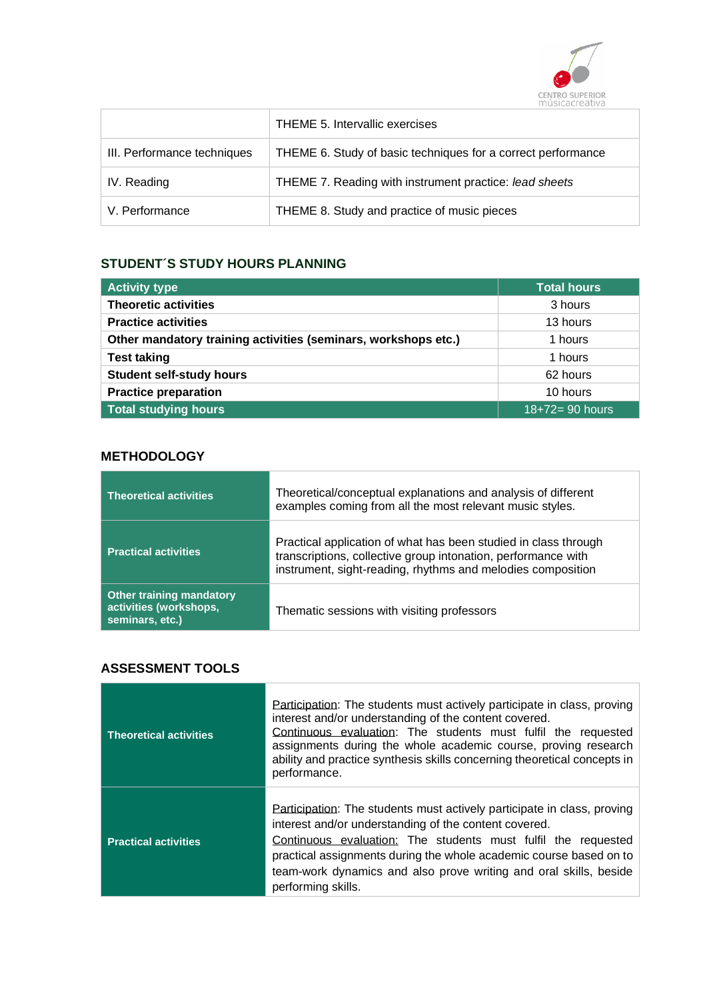

|                             | THEME 5. Intervallic exercises                               |
|-----------------------------|--------------------------------------------------------------|
| III. Performance techniques | THEME 6. Study of basic techniques for a correct performance |
| IV. Reading                 | THEME 7. Reading with instrument practice: lead sheets       |
| V. Performance              | THEME 8. Study and practice of music pieces                  |

# **STUDENT´S STUDY HOURS PLANNING**

| <b>Activity type</b>                                           | <b>Total hours</b>   |
|----------------------------------------------------------------|----------------------|
| <b>Theoretic activities</b>                                    | 3 hours              |
| <b>Practice activities</b>                                     | 13 hours             |
| Other mandatory training activities (seminars, workshops etc.) | 1 hours              |
| <b>Test taking</b>                                             | 1 hours              |
| <b>Student self-study hours</b>                                | 62 hours             |
| <b>Practice preparation</b>                                    | 10 hours             |
| <b>Total studying hours</b>                                    | $18 + 72 = 90$ hours |

# **METHODOLOGY**

| <b>Theoretical activities</b>                                                | Theoretical/conceptual explanations and analysis of different<br>examples coming from all the most relevant music styles.                                                                       |
|------------------------------------------------------------------------------|-------------------------------------------------------------------------------------------------------------------------------------------------------------------------------------------------|
| <b>Practical activities</b>                                                  | Practical application of what has been studied in class through<br>transcriptions, collective group intonation, performance with<br>instrument, sight-reading, rhythms and melodies composition |
| <b>Other training mandatory</b><br>activities (workshops,<br>seminars, etc.) | Thematic sessions with visiting professors                                                                                                                                                      |

## **ASSESSMENT TOOLS**

| <b>Theoretical activities</b> | Participation: The students must actively participate in class, proving<br>interest and/or understanding of the content covered.<br>Continuous evaluation: The students must fulfil the requested<br>assignments during the whole academic course, proving research<br>ability and practice synthesis skills concerning theoretical concepts in<br>performance.    |
|-------------------------------|--------------------------------------------------------------------------------------------------------------------------------------------------------------------------------------------------------------------------------------------------------------------------------------------------------------------------------------------------------------------|
| <b>Practical activities</b>   | Participation: The students must actively participate in class, proving<br>interest and/or understanding of the content covered.<br>Continuous evaluation: The students must fulfil the requested<br>practical assignments during the whole academic course based on to<br>team-work dynamics and also prove writing and oral skills, beside<br>performing skills. |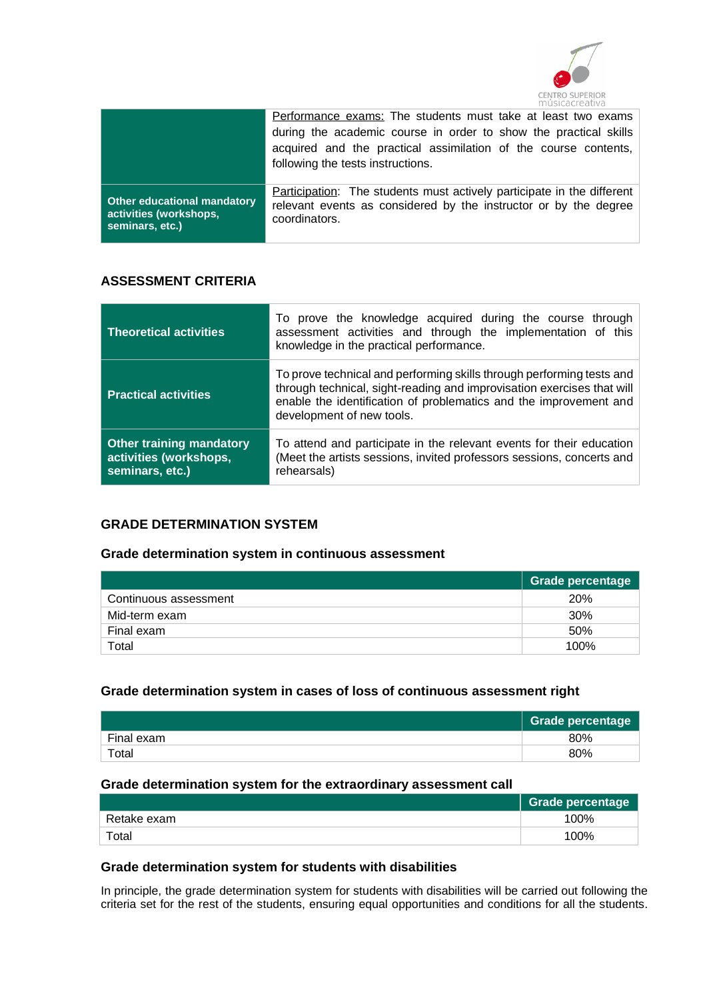

|                                                                                 | Performance exams: The students must take at least two exams<br>during the academic course in order to show the practical skills<br>acquired and the practical assimilation of the course contents,<br>following the tests instructions. |
|---------------------------------------------------------------------------------|------------------------------------------------------------------------------------------------------------------------------------------------------------------------------------------------------------------------------------------|
| <b>Other educational mandatory</b><br>activities (workshops,<br>seminars, etc.) | Participation: The students must actively participate in the different<br>relevant events as considered by the instructor or by the degree<br>coordinators.                                                                              |

## **ASSESSMENT CRITERIA**

| <b>Theoretical activities</b>                                                | To prove the knowledge acquired during the course through<br>assessment activities and through the implementation of this<br>knowledge in the practical performance.                                                                              |  |
|------------------------------------------------------------------------------|---------------------------------------------------------------------------------------------------------------------------------------------------------------------------------------------------------------------------------------------------|--|
| <b>Practical activities</b>                                                  | To prove technical and performing skills through performing tests and<br>through technical, sight-reading and improvisation exercises that will<br>enable the identification of problematics and the improvement and<br>development of new tools. |  |
| <b>Other training mandatory</b><br>activities (workshops,<br>seminars, etc.) | To attend and participate in the relevant events for their education<br>(Meet the artists sessions, invited professors sessions, concerts and<br>rehearsals)                                                                                      |  |

#### **GRADE DETERMINATION SYSTEM**

#### **Grade determination system in continuous assessment**

|                       | Grade percentage |
|-----------------------|------------------|
| Continuous assessment | <b>20%</b>       |
| Mid-term exam         | <b>30%</b>       |
| Final exam            | 50%              |
| Total                 | 100%             |

#### **Grade determination system in cases of loss of continuous assessment right**

|            | <b>Grade percentage</b> |
|------------|-------------------------|
| Final exam | 80%                     |
| Total      | 80%                     |

#### **Grade determination system for the extraordinary assessment call**

|             | <b>Grade percentage</b> |
|-------------|-------------------------|
| Retake exam | 100%                    |
| Total       | 100%                    |

#### **Grade determination system for students with disabilities**

In principle, the grade determination system for students with disabilities will be carried out following the criteria set for the rest of the students, ensuring equal opportunities and conditions for all the students.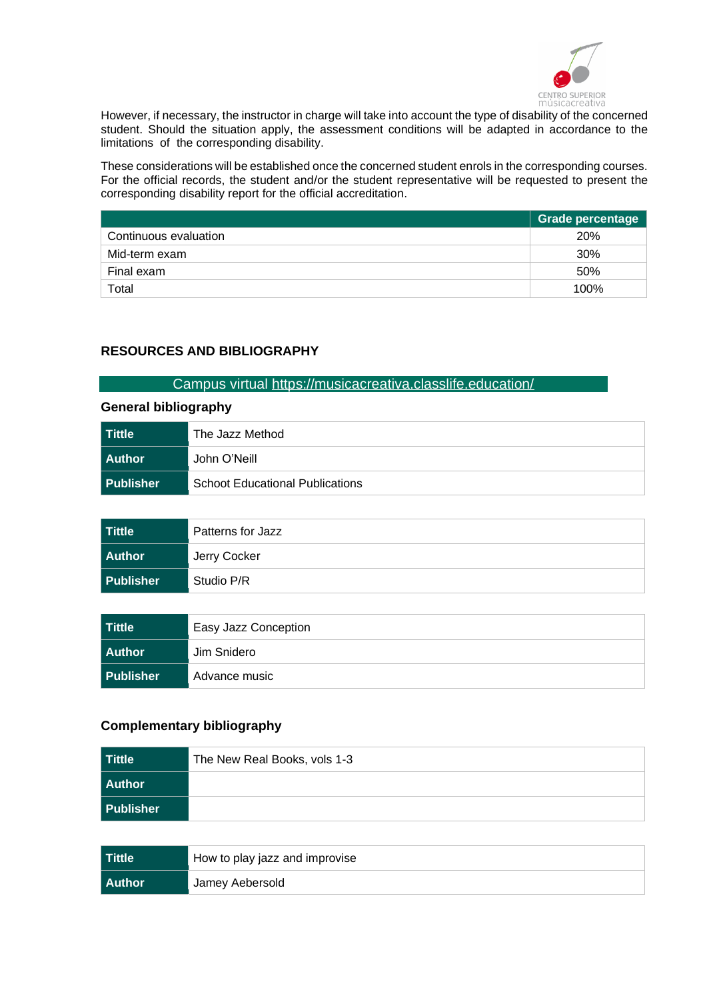

However, if necessary, the instructor in charge will take into account the type of disability of the concerned student. Should the situation apply, the assessment conditions will be adapted in accordance to the limitations of the corresponding disability.

These considerations will be established once the concerned student enrols in the corresponding courses. For the official records, the student and/or the student representative will be requested to present the corresponding disability report for the official accreditation.

|                       | <b>Grade percentage</b> |
|-----------------------|-------------------------|
| Continuous evaluation | <b>20%</b>              |
| Mid-term exam         | 30%                     |
| Final exam            | 50%                     |
| Total                 | 100%                    |

## **RESOURCES AND BIBLIOGRAPHY**

#### Campus virtual<https://musicacreativa.classlife.education/>

#### **General bibliography**

| ∣ Tittle         | The Jazz Method                        |
|------------------|----------------------------------------|
| <b>Author</b>    | John O'Neill                           |
| <b>Publisher</b> | <b>Schoot Educational Publications</b> |

| Tittle    | Patterns for Jazz |
|-----------|-------------------|
| Author    | Jerry Cocker      |
| Publisher | Studio P/R        |

| Tittle    | Easy Jazz Conception |
|-----------|----------------------|
| Author    | Jim Snidero          |
| Publisher | Advance music        |

## **Complementary bibliography**

| Tittle    | The New Real Books, vols 1-3 |
|-----------|------------------------------|
| Author    |                              |
| Publisher |                              |

| Tittle | How to play jazz and improvise |
|--------|--------------------------------|
| Author | Jamey Aebersold                |